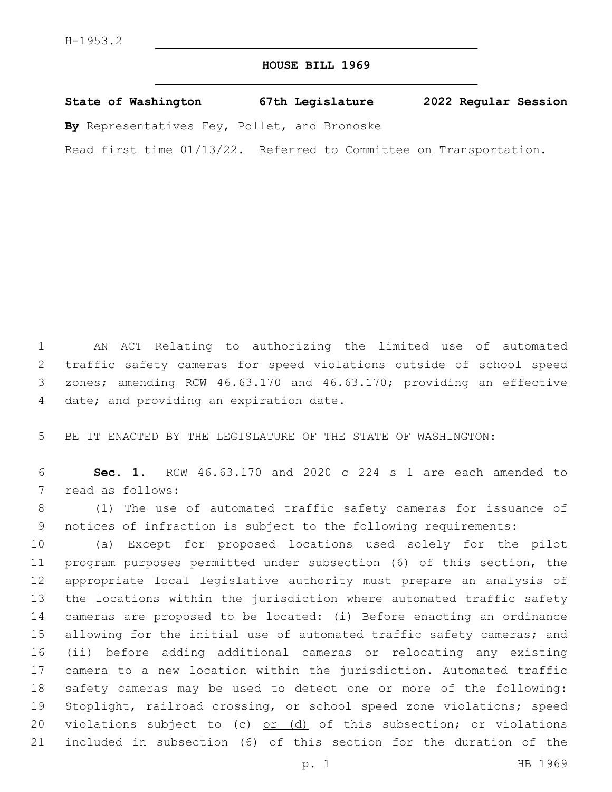## **HOUSE BILL 1969**

**State of Washington 67th Legislature 2022 Regular Session**

**By** Representatives Fey, Pollet, and Bronoske

Read first time 01/13/22. Referred to Committee on Transportation.

 AN ACT Relating to authorizing the limited use of automated traffic safety cameras for speed violations outside of school speed zones; amending RCW 46.63.170 and 46.63.170; providing an effective 4 date; and providing an expiration date.

BE IT ENACTED BY THE LEGISLATURE OF THE STATE OF WASHINGTON:

 **Sec. 1.** RCW 46.63.170 and 2020 c 224 s 1 are each amended to 7 read as follows:

 (1) The use of automated traffic safety cameras for issuance of notices of infraction is subject to the following requirements:

 (a) Except for proposed locations used solely for the pilot program purposes permitted under subsection (6) of this section, the appropriate local legislative authority must prepare an analysis of the locations within the jurisdiction where automated traffic safety cameras are proposed to be located: (i) Before enacting an ordinance 15 allowing for the initial use of automated traffic safety cameras; and (ii) before adding additional cameras or relocating any existing camera to a new location within the jurisdiction. Automated traffic safety cameras may be used to detect one or more of the following: Stoplight, railroad crossing, or school speed zone violations; speed 20 violations subject to (c) or (d) of this subsection; or violations included in subsection (6) of this section for the duration of the

p. 1 HB 1969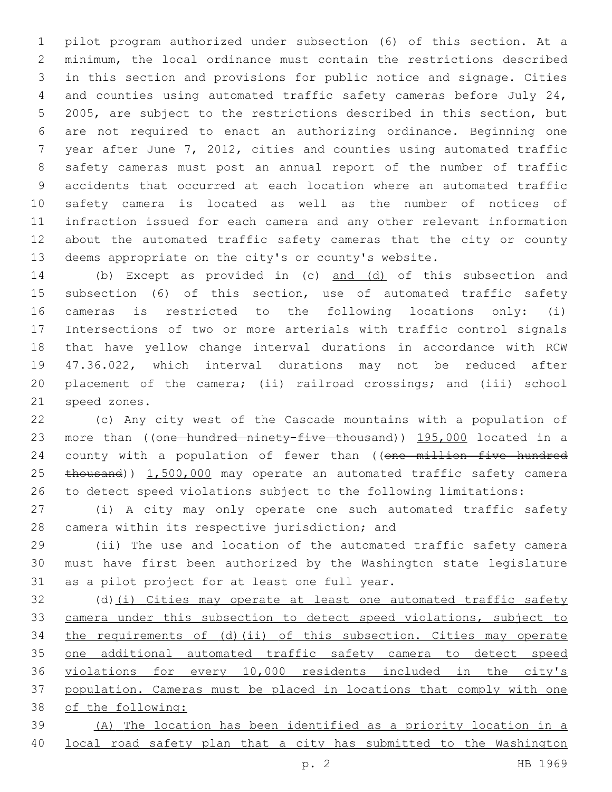pilot program authorized under subsection (6) of this section. At a minimum, the local ordinance must contain the restrictions described in this section and provisions for public notice and signage. Cities and counties using automated traffic safety cameras before July 24, 2005, are subject to the restrictions described in this section, but are not required to enact an authorizing ordinance. Beginning one year after June 7, 2012, cities and counties using automated traffic safety cameras must post an annual report of the number of traffic accidents that occurred at each location where an automated traffic safety camera is located as well as the number of notices of infraction issued for each camera and any other relevant information about the automated traffic safety cameras that the city or county deems appropriate on the city's or county's website.

 (b) Except as provided in (c) and (d) of this subsection and subsection (6) of this section, use of automated traffic safety cameras is restricted to the following locations only: (i) Intersections of two or more arterials with traffic control signals that have yellow change interval durations in accordance with RCW 47.36.022, which interval durations may not be reduced after placement of the camera; (ii) railroad crossings; and (iii) school 21 speed zones.

 (c) Any city west of the Cascade mountains with a population of 23 more than ((one hundred ninety-five thousand)) 195,000 located in a 24 county with a population of fewer than ((one million five hundred 25 thousand)) 1,500,000 may operate an automated traffic safety camera to detect speed violations subject to the following limitations:

 (i) A city may only operate one such automated traffic safety 28 camera within its respective jurisdiction; and

 (ii) The use and location of the automated traffic safety camera must have first been authorized by the Washington state legislature 31 as a pilot project for at least one full year.

32 (d)(i) Cities may operate at least one automated traffic safety camera under this subsection to detect speed violations, subject to the requirements of (d)(ii) of this subsection. Cities may operate one additional automated traffic safety camera to detect speed violations for every 10,000 residents included in the city's population. Cameras must be placed in locations that comply with one of the following:

 (A) The location has been identified as a priority location in a local road safety plan that a city has submitted to the Washington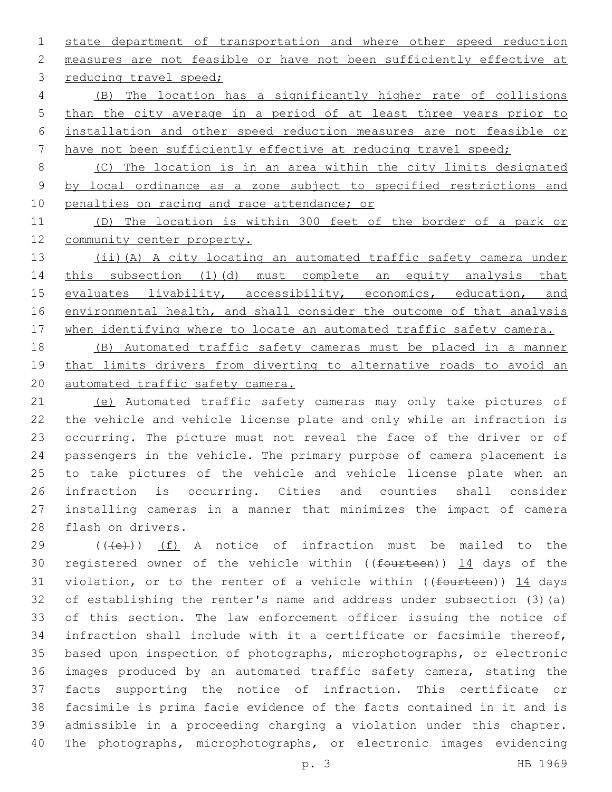state department of transportation and where other speed reduction measures are not feasible or have not been sufficiently effective at 3 reducing travel speed;

 (B) The location has a significantly higher rate of collisions than the city average in a period of at least three years prior to installation and other speed reduction measures are not feasible or have not been sufficiently effective at reducing travel speed;

 (C) The location is in an area within the city limits designated by local ordinance as a zone subject to specified restrictions and 10 penalties on racing and race attendance; or

 (D) The location is within 300 feet of the border of a park or community center property.

 (ii)(A) A city locating an automated traffic safety camera under this subsection (1)(d) must complete an equity analysis that 15 evaluates livability, accessibility, economics, education, and 16 environmental health, and shall consider the outcome of that analysis 17 when identifying where to locate an automated traffic safety camera.

 (B) Automated traffic safety cameras must be placed in a manner 19 that limits drivers from diverting to alternative roads to avoid an automated traffic safety camera.

 (e) Automated traffic safety cameras may only take pictures of the vehicle and vehicle license plate and only while an infraction is occurring. The picture must not reveal the face of the driver or of passengers in the vehicle. The primary purpose of camera placement is to take pictures of the vehicle and vehicle license plate when an infraction is occurring. Cities and counties shall consider installing cameras in a manner that minimizes the impact of camera 28 flash on drivers.

 (( $\left(\frac{1}{10}\right)$ ) (f) A notice of infraction must be mailed to the 30 registered owner of the vehicle within ((fourteen)) 14 days of the 31 violation, or to the renter of a vehicle within (( $f$ ourteen)) 14 days of establishing the renter's name and address under subsection (3)(a) of this section. The law enforcement officer issuing the notice of infraction shall include with it a certificate or facsimile thereof, based upon inspection of photographs, microphotographs, or electronic images produced by an automated traffic safety camera, stating the facts supporting the notice of infraction. This certificate or facsimile is prima facie evidence of the facts contained in it and is admissible in a proceeding charging a violation under this chapter. The photographs, microphotographs, or electronic images evidencing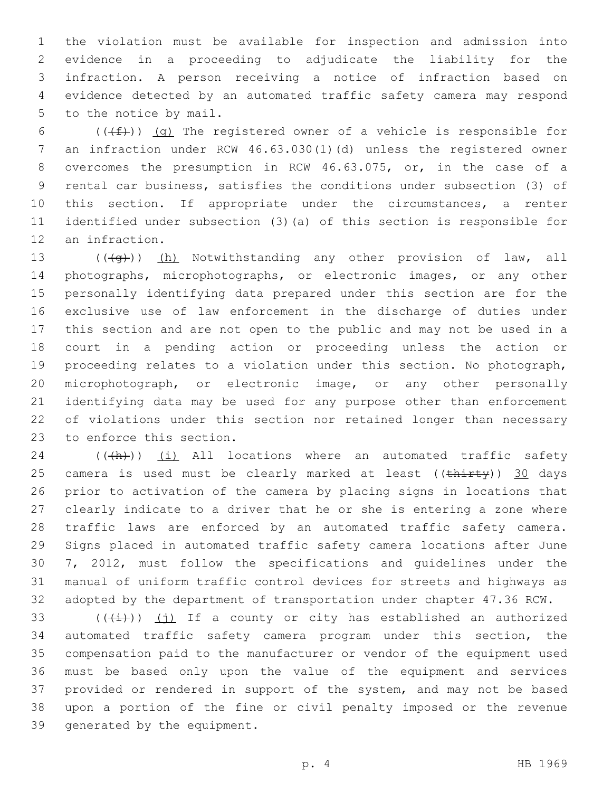the violation must be available for inspection and admission into evidence in a proceeding to adjudicate the liability for the infraction. A person receiving a notice of infraction based on evidence detected by an automated traffic safety camera may respond 5 to the notice by mail.

6 ( $(\text{+f})$ ) (g) The registered owner of a vehicle is responsible for an infraction under RCW 46.63.030(1)(d) unless the registered owner overcomes the presumption in RCW 46.63.075, or, in the case of a rental car business, satisfies the conditions under subsection (3) of 10 this section. If appropriate under the circumstances, a renter identified under subsection (3)(a) of this section is responsible for 12 an infraction.

13 (((+q))) (h) Notwithstanding any other provision of law, all photographs, microphotographs, or electronic images, or any other personally identifying data prepared under this section are for the exclusive use of law enforcement in the discharge of duties under this section and are not open to the public and may not be used in a court in a pending action or proceeding unless the action or proceeding relates to a violation under this section. No photograph, microphotograph, or electronic image, or any other personally identifying data may be used for any purpose other than enforcement of violations under this section nor retained longer than necessary 23 to enforce this section.

 (( $\left(\frac{h}{h}\right)$ ) (i) All locations where an automated traffic safety 25 camera is used must be clearly marked at least ((thirty)) 30 days prior to activation of the camera by placing signs in locations that clearly indicate to a driver that he or she is entering a zone where traffic laws are enforced by an automated traffic safety camera. Signs placed in automated traffic safety camera locations after June 7, 2012, must follow the specifications and guidelines under the manual of uniform traffic control devices for streets and highways as adopted by the department of transportation under chapter 47.36 RCW.

 $((\overrightarrow{i}))$  (j) If a county or city has established an authorized automated traffic safety camera program under this section, the compensation paid to the manufacturer or vendor of the equipment used must be based only upon the value of the equipment and services provided or rendered in support of the system, and may not be based upon a portion of the fine or civil penalty imposed or the revenue 39 generated by the equipment.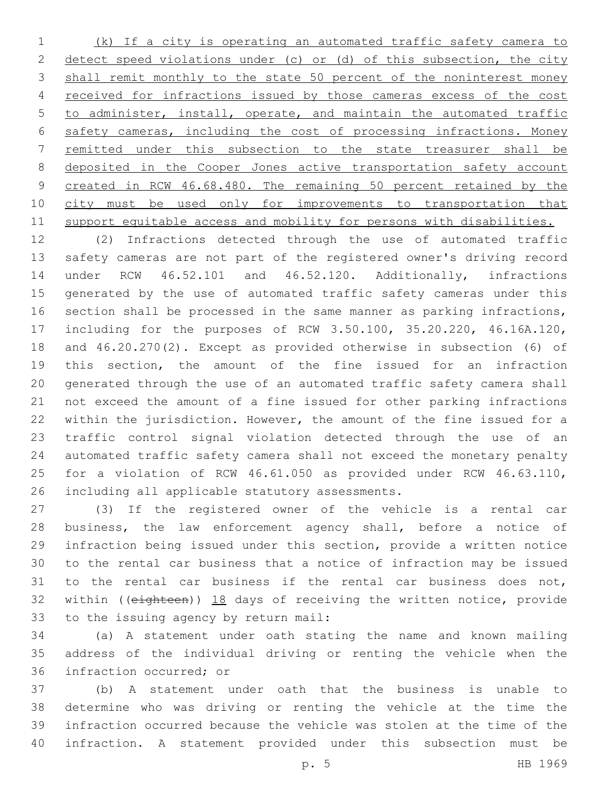(k) If a city is operating an automated traffic safety camera to 2 detect speed violations under (c) or (d) of this subsection, the city 3 shall remit monthly to the state 50 percent of the noninterest money received for infractions issued by those cameras excess of the cost to administer, install, operate, and maintain the automated traffic safety cameras, including the cost of processing infractions. Money remitted under this subsection to the state treasurer shall be 8 deposited in the Cooper Jones active transportation safety account 9 created in RCW 46.68.480. The remaining 50 percent retained by the 10 city must be used only for improvements to transportation that support equitable access and mobility for persons with disabilities.

 (2) Infractions detected through the use of automated traffic safety cameras are not part of the registered owner's driving record under RCW 46.52.101 and 46.52.120. Additionally, infractions generated by the use of automated traffic safety cameras under this section shall be processed in the same manner as parking infractions, including for the purposes of RCW 3.50.100, 35.20.220, 46.16A.120, and 46.20.270(2). Except as provided otherwise in subsection (6) of this section, the amount of the fine issued for an infraction generated through the use of an automated traffic safety camera shall not exceed the amount of a fine issued for other parking infractions within the jurisdiction. However, the amount of the fine issued for a traffic control signal violation detected through the use of an automated traffic safety camera shall not exceed the monetary penalty for a violation of RCW 46.61.050 as provided under RCW 46.63.110, 26 including all applicable statutory assessments.

 (3) If the registered owner of the vehicle is a rental car business, the law enforcement agency shall, before a notice of infraction being issued under this section, provide a written notice to the rental car business that a notice of infraction may be issued to the rental car business if the rental car business does not, 32 within ((eighteen)) 18 days of receiving the written notice, provide 33 to the issuing agency by return mail:

 (a) A statement under oath stating the name and known mailing address of the individual driving or renting the vehicle when the 36 infraction occurred: or

 (b) A statement under oath that the business is unable to determine who was driving or renting the vehicle at the time the infraction occurred because the vehicle was stolen at the time of the infraction. A statement provided under this subsection must be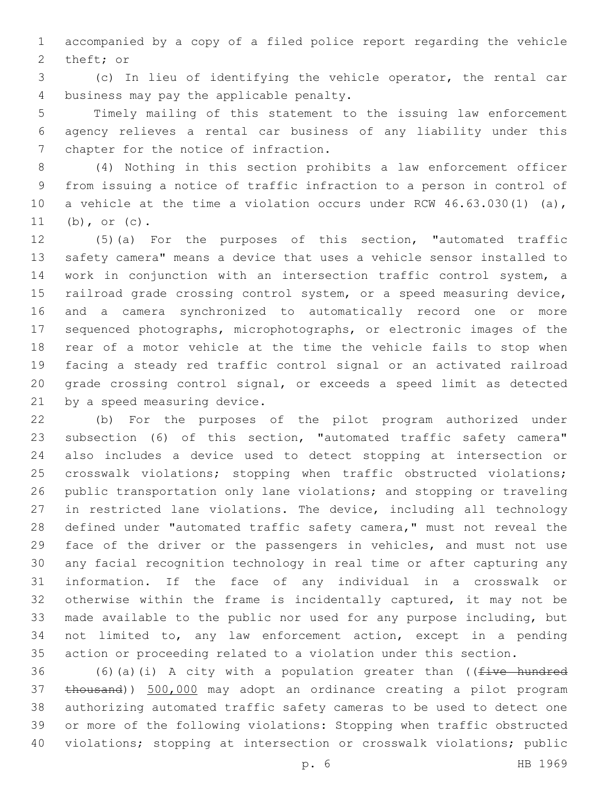accompanied by a copy of a filed police report regarding the vehicle 2 theft; or

 (c) In lieu of identifying the vehicle operator, the rental car 4 business may pay the applicable penalty.

 Timely mailing of this statement to the issuing law enforcement agency relieves a rental car business of any liability under this 7 chapter for the notice of infraction.

 (4) Nothing in this section prohibits a law enforcement officer from issuing a notice of traffic infraction to a person in control of a vehicle at the time a violation occurs under RCW 46.63.030(1) (a), (b), or (c).

 (5)(a) For the purposes of this section, "automated traffic safety camera" means a device that uses a vehicle sensor installed to work in conjunction with an intersection traffic control system, a railroad grade crossing control system, or a speed measuring device, and a camera synchronized to automatically record one or more sequenced photographs, microphotographs, or electronic images of the rear of a motor vehicle at the time the vehicle fails to stop when facing a steady red traffic control signal or an activated railroad grade crossing control signal, or exceeds a speed limit as detected 21 by a speed measuring device.

 (b) For the purposes of the pilot program authorized under subsection (6) of this section, "automated traffic safety camera" also includes a device used to detect stopping at intersection or crosswalk violations; stopping when traffic obstructed violations; public transportation only lane violations; and stopping or traveling in restricted lane violations. The device, including all technology 28 defined under "automated traffic safety camera," must not reveal the face of the driver or the passengers in vehicles, and must not use any facial recognition technology in real time or after capturing any information. If the face of any individual in a crosswalk or otherwise within the frame is incidentally captured, it may not be made available to the public nor used for any purpose including, but not limited to, any law enforcement action, except in a pending action or proceeding related to a violation under this section.

36 (6)(a)(i) A city with a population greater than (( $f$ ive hundred thousand)) 500,000 may adopt an ordinance creating a pilot program authorizing automated traffic safety cameras to be used to detect one or more of the following violations: Stopping when traffic obstructed violations; stopping at intersection or crosswalk violations; public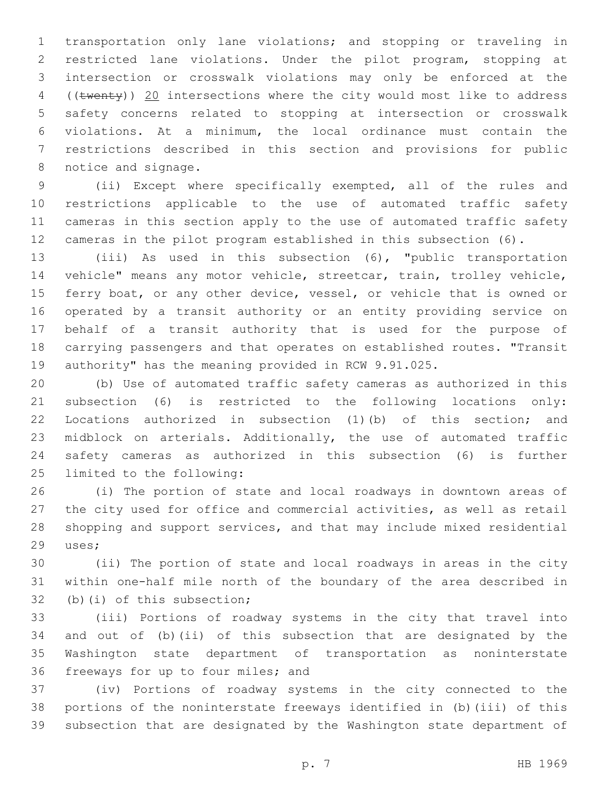transportation only lane violations; and stopping or traveling in restricted lane violations. Under the pilot program, stopping at intersection or crosswalk violations may only be enforced at the 4 ((twenty)) 20 intersections where the city would most like to address safety concerns related to stopping at intersection or crosswalk violations. At a minimum, the local ordinance must contain the restrictions described in this section and provisions for public 8 notice and signage.

 (ii) Except where specifically exempted, all of the rules and restrictions applicable to the use of automated traffic safety cameras in this section apply to the use of automated traffic safety cameras in the pilot program established in this subsection (6).

 (iii) As used in this subsection (6), "public transportation vehicle" means any motor vehicle, streetcar, train, trolley vehicle, 15 ferry boat, or any other device, vessel, or vehicle that is owned or operated by a transit authority or an entity providing service on behalf of a transit authority that is used for the purpose of carrying passengers and that operates on established routes. "Transit authority" has the meaning provided in RCW 9.91.025.

 (b) Use of automated traffic safety cameras as authorized in this subsection (6) is restricted to the following locations only: Locations authorized in subsection (1)(b) of this section; and midblock on arterials. Additionally, the use of automated traffic safety cameras as authorized in this subsection (6) is further 25 limited to the following:

 (i) The portion of state and local roadways in downtown areas of the city used for office and commercial activities, as well as retail shopping and support services, and that may include mixed residential 29 uses;

 (ii) The portion of state and local roadways in areas in the city within one-half mile north of the boundary of the area described in 32 (b)(i) of this subsection;

 (iii) Portions of roadway systems in the city that travel into and out of (b)(ii) of this subsection that are designated by the Washington state department of transportation as noninterstate 36 freeways for up to four miles; and

 (iv) Portions of roadway systems in the city connected to the portions of the noninterstate freeways identified in (b)(iii) of this subsection that are designated by the Washington state department of

p. 7 HB 1969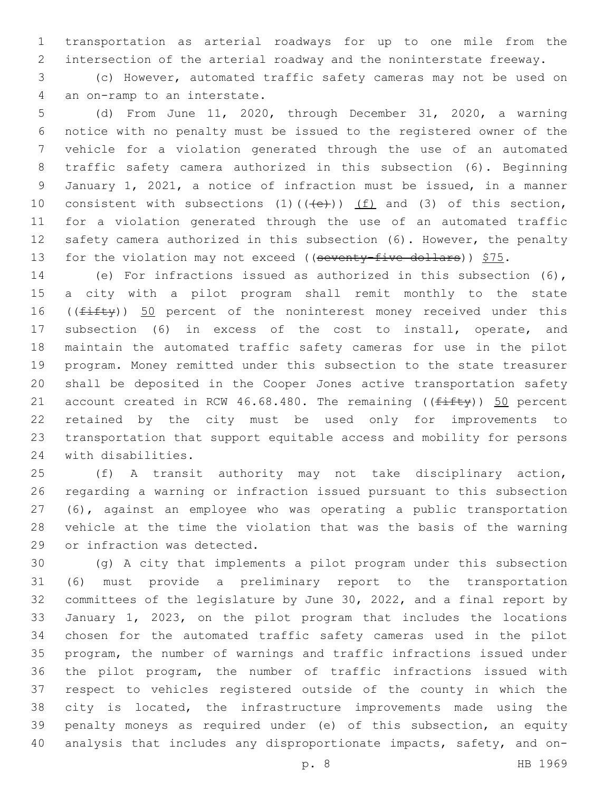transportation as arterial roadways for up to one mile from the intersection of the arterial roadway and the noninterstate freeway.

 (c) However, automated traffic safety cameras may not be used on 4 an on-ramp to an interstate.

 (d) From June 11, 2020, through December 31, 2020, a warning notice with no penalty must be issued to the registered owner of the vehicle for a violation generated through the use of an automated traffic safety camera authorized in this subsection (6). Beginning January 1, 2021, a notice of infraction must be issued, in a manner 10 consistent with subsections (1)( $(\overline{+e})$ )  $\underline{(f)}$  and (3) of this section, for a violation generated through the use of an automated traffic safety camera authorized in this subsection (6). However, the penalty 13 for the violation may not exceed ((seventy-five dollars))  $$75.$ 

 (e) For infractions issued as authorized in this subsection (6), a city with a pilot program shall remit monthly to the state 16 ((fifty)) 50 percent of the noninterest money received under this subsection (6) in excess of the cost to install, operate, and maintain the automated traffic safety cameras for use in the pilot program. Money remitted under this subsection to the state treasurer shall be deposited in the Cooper Jones active transportation safety 21 account created in RCW 46.68.480. The remaining  $((f\text{iff}y))$  50 percent retained by the city must be used only for improvements to transportation that support equitable access and mobility for persons 24 with disabilities.

 (f) A transit authority may not take disciplinary action, regarding a warning or infraction issued pursuant to this subsection (6), against an employee who was operating a public transportation vehicle at the time the violation that was the basis of the warning 29 or infraction was detected.

 (g) A city that implements a pilot program under this subsection (6) must provide a preliminary report to the transportation committees of the legislature by June 30, 2022, and a final report by January 1, 2023, on the pilot program that includes the locations chosen for the automated traffic safety cameras used in the pilot program, the number of warnings and traffic infractions issued under the pilot program, the number of traffic infractions issued with respect to vehicles registered outside of the county in which the city is located, the infrastructure improvements made using the penalty moneys as required under (e) of this subsection, an equity analysis that includes any disproportionate impacts, safety, and on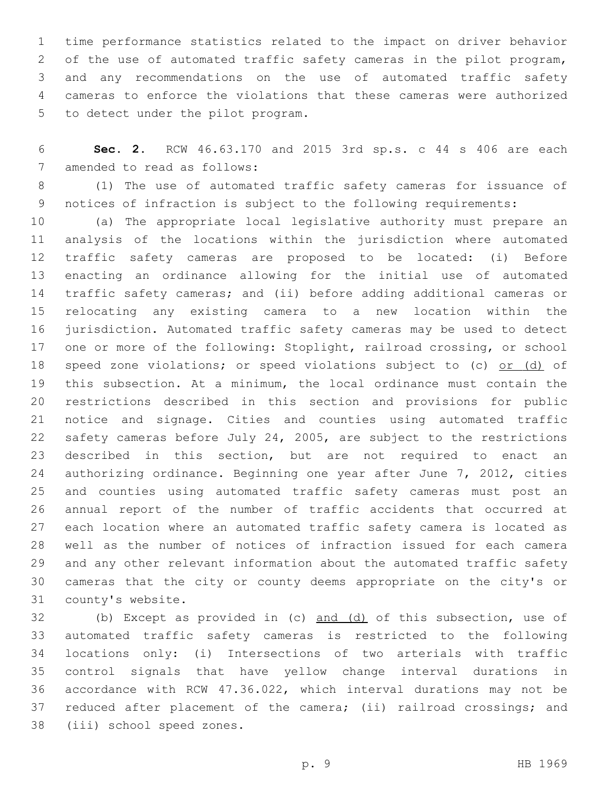time performance statistics related to the impact on driver behavior of the use of automated traffic safety cameras in the pilot program, and any recommendations on the use of automated traffic safety cameras to enforce the violations that these cameras were authorized 5 to detect under the pilot program.

 **Sec. 2.** RCW 46.63.170 and 2015 3rd sp.s. c 44 s 406 are each 7 amended to read as follows:

 (1) The use of automated traffic safety cameras for issuance of notices of infraction is subject to the following requirements:

 (a) The appropriate local legislative authority must prepare an analysis of the locations within the jurisdiction where automated traffic safety cameras are proposed to be located: (i) Before enacting an ordinance allowing for the initial use of automated traffic safety cameras; and (ii) before adding additional cameras or relocating any existing camera to a new location within the jurisdiction. Automated traffic safety cameras may be used to detect one or more of the following: Stoplight, railroad crossing, or school 18 speed zone violations; or speed violations subject to (c) or (d) of this subsection. At a minimum, the local ordinance must contain the restrictions described in this section and provisions for public notice and signage. Cities and counties using automated traffic safety cameras before July 24, 2005, are subject to the restrictions described in this section, but are not required to enact an authorizing ordinance. Beginning one year after June 7, 2012, cities and counties using automated traffic safety cameras must post an annual report of the number of traffic accidents that occurred at each location where an automated traffic safety camera is located as well as the number of notices of infraction issued for each camera and any other relevant information about the automated traffic safety cameras that the city or county deems appropriate on the city's or 31 county's website.

 (b) Except as provided in (c) and (d) of this subsection, use of automated traffic safety cameras is restricted to the following locations only: (i) Intersections of two arterials with traffic control signals that have yellow change interval durations in accordance with RCW 47.36.022, which interval durations may not be reduced after placement of the camera; (ii) railroad crossings; and 38 (iii) school speed zones.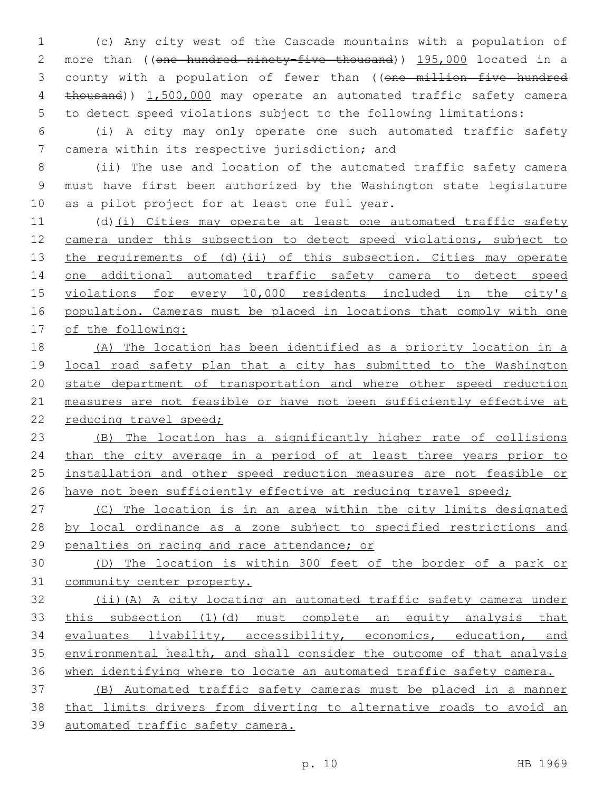(c) Any city west of the Cascade mountains with a population of 2 more than ((one hundred ninety-five thousand)) 195,000 located in a 3 county with a population of fewer than ((one million five hundred 4 thousand)) 1,500,000 may operate an automated traffic safety camera to detect speed violations subject to the following limitations:

 (i) A city may only operate one such automated traffic safety 7 camera within its respective jurisdiction; and

 (ii) The use and location of the automated traffic safety camera must have first been authorized by the Washington state legislature 10 as a pilot project for at least one full year.

 (d)(i) Cities may operate at least one automated traffic safety camera under this subsection to detect speed violations, subject to 13 the requirements of (d)(ii) of this subsection. Cities may operate one additional automated traffic safety camera to detect speed violations for every 10,000 residents included in the city's population. Cameras must be placed in locations that comply with one of the following:

 (A) The location has been identified as a priority location in a local road safety plan that a city has submitted to the Washington state department of transportation and where other speed reduction measures are not feasible or have not been sufficiently effective at 22 reducing travel speed;

 (B) The location has a significantly higher rate of collisions than the city average in a period of at least three years prior to installation and other speed reduction measures are not feasible or 26 have not been sufficiently effective at reducing travel speed;

 (C) The location is in an area within the city limits designated 28 by local ordinance as a zone subject to specified restrictions and penalties on racing and race attendance; or

 (D) The location is within 300 feet of the border of a park or community center property.

 (ii)(A) A city locating an automated traffic safety camera under 33 this subsection (1)(d) must complete an equity analysis that evaluates livability, accessibility, economics, education, and environmental health, and shall consider the outcome of that analysis when identifying where to locate an automated traffic safety camera.

 (B) Automated traffic safety cameras must be placed in a manner that limits drivers from diverting to alternative roads to avoid an automated traffic safety camera.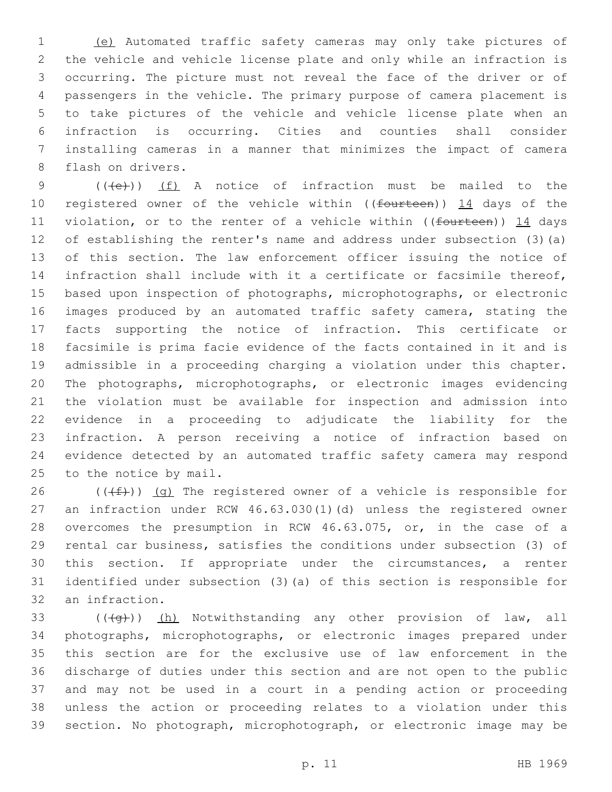(e) Automated traffic safety cameras may only take pictures of the vehicle and vehicle license plate and only while an infraction is occurring. The picture must not reveal the face of the driver or of passengers in the vehicle. The primary purpose of camera placement is to take pictures of the vehicle and vehicle license plate when an infraction is occurring. Cities and counties shall consider installing cameras in a manner that minimizes the impact of camera 8 flash on drivers.

9 (((e)) (f) A notice of infraction must be mailed to the 10 registered owner of the vehicle within ((fourteen)) 14 days of the 11 violation, or to the renter of a vehicle within ((fourteen)) 14 days of establishing the renter's name and address under subsection (3)(a) of this section. The law enforcement officer issuing the notice of infraction shall include with it a certificate or facsimile thereof, based upon inspection of photographs, microphotographs, or electronic images produced by an automated traffic safety camera, stating the facts supporting the notice of infraction. This certificate or facsimile is prima facie evidence of the facts contained in it and is admissible in a proceeding charging a violation under this chapter. The photographs, microphotographs, or electronic images evidencing the violation must be available for inspection and admission into evidence in a proceeding to adjudicate the liability for the infraction. A person receiving a notice of infraction based on evidence detected by an automated traffic safety camera may respond 25 to the notice by mail.

26 ( $(\text{+f})$ ) (g) The registered owner of a vehicle is responsible for an infraction under RCW 46.63.030(1)(d) unless the registered owner overcomes the presumption in RCW 46.63.075, or, in the case of a rental car business, satisfies the conditions under subsection (3) of this section. If appropriate under the circumstances, a renter identified under subsection (3)(a) of this section is responsible for 32 an infraction.

 $((+q))$   $(h)$  Notwithstanding any other provision of law, all photographs, microphotographs, or electronic images prepared under this section are for the exclusive use of law enforcement in the discharge of duties under this section and are not open to the public and may not be used in a court in a pending action or proceeding unless the action or proceeding relates to a violation under this section. No photograph, microphotograph, or electronic image may be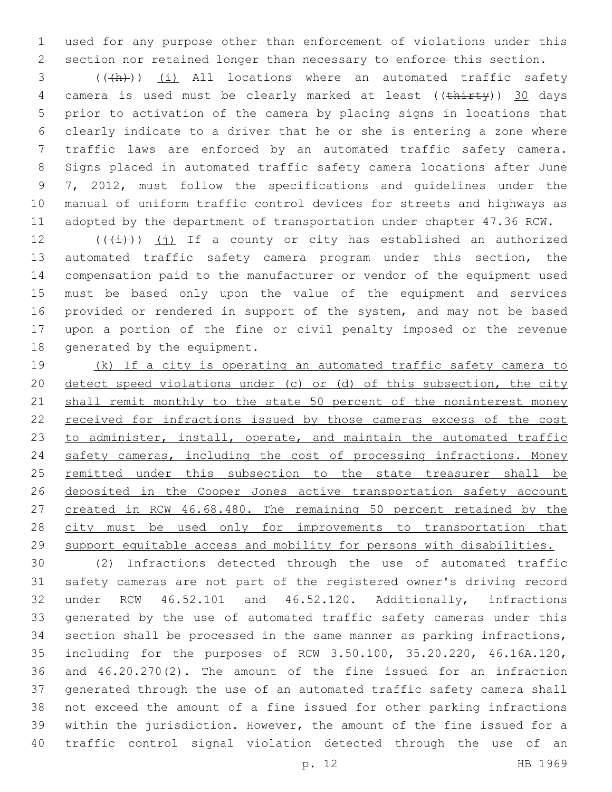used for any purpose other than enforcement of violations under this section nor retained longer than necessary to enforce this section.

3 (((A))) (i) All locations where an automated traffic safety 4 camera is used must be clearly marked at least ((thirty)) 30 days prior to activation of the camera by placing signs in locations that clearly indicate to a driver that he or she is entering a zone where traffic laws are enforced by an automated traffic safety camera. Signs placed in automated traffic safety camera locations after June 7, 2012, must follow the specifications and guidelines under the manual of uniform traffic control devices for streets and highways as adopted by the department of transportation under chapter 47.36 RCW.

 $((\overrightarrow{i}))$  (j) If a county or city has established an authorized automated traffic safety camera program under this section, the compensation paid to the manufacturer or vendor of the equipment used must be based only upon the value of the equipment and services provided or rendered in support of the system, and may not be based upon a portion of the fine or civil penalty imposed or the revenue 18 generated by the equipment.

 (k) If a city is operating an automated traffic safety camera to detect speed violations under (c) or (d) of this subsection, the city 21 shall remit monthly to the state 50 percent of the noninterest money 22 received for infractions issued by those cameras excess of the cost 23 to administer, install, operate, and maintain the automated traffic safety cameras, including the cost of processing infractions. Money 25 remitted under this subsection to the state treasurer shall be 26 deposited in the Cooper Jones active transportation safety account created in RCW 46.68.480. The remaining 50 percent retained by the 28 city must be used only for improvements to transportation that support equitable access and mobility for persons with disabilities.

 (2) Infractions detected through the use of automated traffic safety cameras are not part of the registered owner's driving record under RCW 46.52.101 and 46.52.120. Additionally, infractions generated by the use of automated traffic safety cameras under this section shall be processed in the same manner as parking infractions, including for the purposes of RCW 3.50.100, 35.20.220, 46.16A.120, and 46.20.270(2). The amount of the fine issued for an infraction generated through the use of an automated traffic safety camera shall not exceed the amount of a fine issued for other parking infractions within the jurisdiction. However, the amount of the fine issued for a traffic control signal violation detected through the use of an

p. 12 HB 1969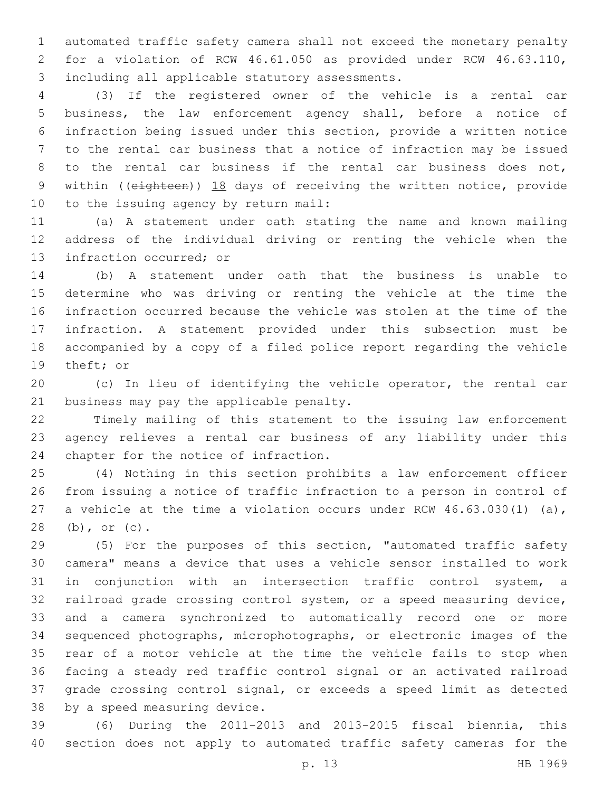automated traffic safety camera shall not exceed the monetary penalty for a violation of RCW 46.61.050 as provided under RCW 46.63.110, 3 including all applicable statutory assessments.

 (3) If the registered owner of the vehicle is a rental car business, the law enforcement agency shall, before a notice of infraction being issued under this section, provide a written notice to the rental car business that a notice of infraction may be issued to the rental car business if the rental car business does not, 9 within ((eighteen)) 18 days of receiving the written notice, provide 10 to the issuing agency by return mail:

 (a) A statement under oath stating the name and known mailing address of the individual driving or renting the vehicle when the 13 infraction occurred; or

 (b) A statement under oath that the business is unable to determine who was driving or renting the vehicle at the time the infraction occurred because the vehicle was stolen at the time of the infraction. A statement provided under this subsection must be accompanied by a copy of a filed police report regarding the vehicle 19 theft; or

 (c) In lieu of identifying the vehicle operator, the rental car 21 business may pay the applicable penalty.

 Timely mailing of this statement to the issuing law enforcement agency relieves a rental car business of any liability under this 24 chapter for the notice of infraction.

 (4) Nothing in this section prohibits a law enforcement officer from issuing a notice of traffic infraction to a person in control of a vehicle at the time a violation occurs under RCW 46.63.030(1) (a), 28 (b), or (c).

 (5) For the purposes of this section, "automated traffic safety camera" means a device that uses a vehicle sensor installed to work in conjunction with an intersection traffic control system, a railroad grade crossing control system, or a speed measuring device, and a camera synchronized to automatically record one or more sequenced photographs, microphotographs, or electronic images of the rear of a motor vehicle at the time the vehicle fails to stop when facing a steady red traffic control signal or an activated railroad grade crossing control signal, or exceeds a speed limit as detected 38 by a speed measuring device.

 (6) During the 2011-2013 and 2013-2015 fiscal biennia, this section does not apply to automated traffic safety cameras for the

p. 13 HB 1969